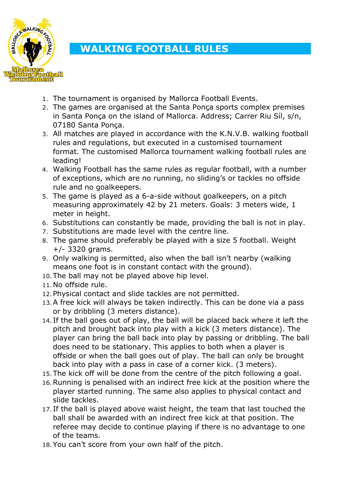

## **WALKING FOOTBALL RULES**

- 1. The tournament is organised by Mallorca Football Events.
- 2. The games are organised at the Santa Ponça sports complex premises in Santa Ponça on the island of Mallorca. Address; Carrer Riu Síl, s/n, 07180 Santa Ponça.
- 3. All matches are played in accordance with the K.N.V.B. walking football rules and regulations, but executed in a customised tournament format. The customised Mallorca tournament walking football rules are leading!
- 4. Walking Football has the same rules as regular football, with a number of exceptions, which are no running, no sliding's or tackles no offside rule and no goalkeepers.
- 5. The game is played as a 6-a-side without goalkeepers, on a pitch measuring approximately 42 by 21 meters. Goals: 3 meters wide, 1 meter in height.
- 6. Substitutions can constantly be made, providing the ball is not in play.
- 7. Substitutions are made level with the centre line.
- 8. The game should preferably be played with a size 5 football. Weight +/- 3320 grams.
- 9. Only walking is permitted, also when the ball isn't nearby (walking means one foot is in constant contact with the ground).
- 10.The ball may not be played above hip level.
- 11.No offside rule.
- 12.Physical contact and slide tackles are not permitted.
- 13.A free kick will always be taken indirectly. This can be done via a pass or by dribbling (3 meters distance).
- 14. If the ball goes out of play, the ball will be placed back where it left the pitch and brought back into play with a kick (3 meters distance). The player can bring the ball back into play by passing or dribbling. The ball does need to be stationary. This applies to both when a player is offside or when the ball goes out of play. The ball can only be brought back into play with a pass in case of a corner kick. (3 meters).
- 15.The kick off will be done from the centre of the pitch following a goal.
- 16.Running is penalised with an indirect free kick at the position where the player started running. The same also applies to physical contact and slide tackles.
- 17. If the ball is played above waist height, the team that last touched the ball shall be awarded with an indirect free kick at that position. The referee may decide to continue playing if there is no advantage to one of the teams.
- 18.You can't score from your own half of the pitch.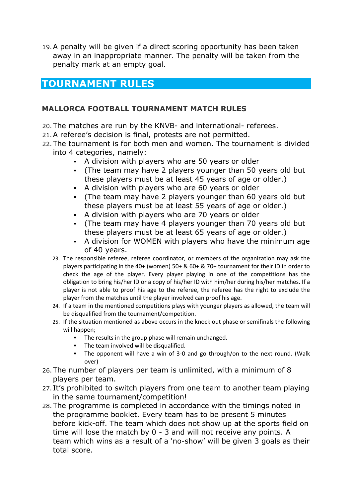19.A penalty will be given if a direct scoring opportunity has been taken away in an inappropriate manner. The penalty will be taken from the penalty mark at an empty goal.

## **TOURNAMENT RULES**

## **MALLORCA FOOTBALL TOURNAMENT MATCH RULES**

- 20.The matches are run by the KNVB- and international- referees.
- 21.A referee's decision is final, protests are not permitted.
- 22.The tournament is for both men and women. The tournament is divided into 4 categories, namely:
	- A division with players who are 50 years or older
	- (The team may have 2 players younger than 50 years old but these players must be at least 45 years of age or older.)
	- A division with players who are 60 years or older
	- (The team may have 2 players younger than 60 years old but these players must be at least 55 years of age or older.)
	- A division with players who are 70 years or older
	- (The team may have 4 players younger than 70 years old but these players must be at least 65 years of age or older.)
	- A division for WOMEN with players who have the minimum age of 40 years.
	- 23. The responsible referee, referee coordinator, or members of the organization may ask the players participating in the 40+ (women) 50+ & 60+ & 70+ tournament for their ID in order to check the age of the player. Every player playing in one of the competitions has the obligation to bring his/her ID or a copy of his/her ID with him/her during his/her matches. If a player is not able to proof his age to the referee, the referee has the right to exclude the player from the matches until the player involved can proof his age.
	- 24. If a team in the mentioned competitions plays with younger players as allowed, the team will be disqualified from the tournament/competition.
	- 25. If the situation mentioned as above occurs in the knock out phase or semifinals the following will happen;
		- The results in the group phase will remain unchanged.
		- **•** The team involved will be disqualified.
		- The opponent will have a win of 3-0 and go through/on to the next round. (Walk over)
- 26.The number of players per team is unlimited, with a minimum of 8 players per team.
- 27. It's prohibited to switch players from one team to another team playing in the same tournament/competition!
- 28.The programme is completed in accordance with the timings noted in the programme booklet. Every team has to be present 5 minutes before kick-off. The team which does not show up at the sports field on time will lose the match by 0 - 3 and will not receive any points. A team which wins as a result of a 'no-show' will be given 3 goals as their total score.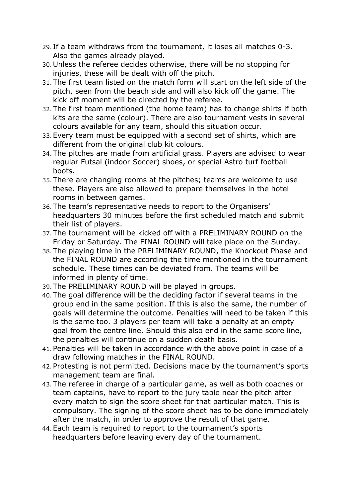- 29. If a team withdraws from the tournament, it loses all matches 0-3. Also the games already played.
- 30.Unless the referee decides otherwise, there will be no stopping for injuries, these will be dealt with off the pitch.
- 31.The first team listed on the match form will start on the left side of the pitch, seen from the beach side and will also kick off the game. The kick off moment will be directed by the referee.
- 32.The first team mentioned (the home team) has to change shirts if both kits are the same (colour). There are also tournament vests in several colours available for any team, should this situation occur.
- 33.Every team must be equipped with a second set of shirts, which are different from the original club kit colours.
- 34.The pitches are made from artificial grass. Players are advised to wear regular Futsal (indoor Soccer) shoes, or special Astro turf football boots.
- 35.There are changing rooms at the pitches; teams are welcome to use these. Players are also allowed to prepare themselves in the hotel rooms in between games.
- 36.The team's representative needs to report to the Organisers' headquarters 30 minutes before the first scheduled match and submit their list of players.
- 37.The tournament will be kicked off with a PRELIMINARY ROUND on the Friday or Saturday. The FINAL ROUND will take place on the Sunday.
- 38.The playing time in the PRELIMINARY ROUND, the Knockout Phase and the FINAL ROUND are according the time mentioned in the tournament schedule. These times can be deviated from. The teams will be informed in plenty of time.
- 39.The PRELIMINARY ROUND will be played in groups.
- 40.The goal difference will be the deciding factor if several teams in the group end in the same position. If this is also the same, the number of goals will determine the outcome. Penalties will need to be taken if this is the same too. 3 players per team will take a penalty at an empty goal from the centre line. Should this also end in the same score line, the penalties will continue on a sudden death basis.
- 41.Penalties will be taken in accordance with the above point in case of a draw following matches in the FINAL ROUND.
- 42.Protesting is not permitted. Decisions made by the tournament's sports management team are final.
- 43.The referee in charge of a particular game, as well as both coaches or team captains, have to report to the jury table near the pitch after every match to sign the score sheet for that particular match. This is compulsory. The signing of the score sheet has to be done immediately after the match, in order to approve the result of that game.
- 44.Each team is required to report to the tournament's sports headquarters before leaving every day of the tournament.